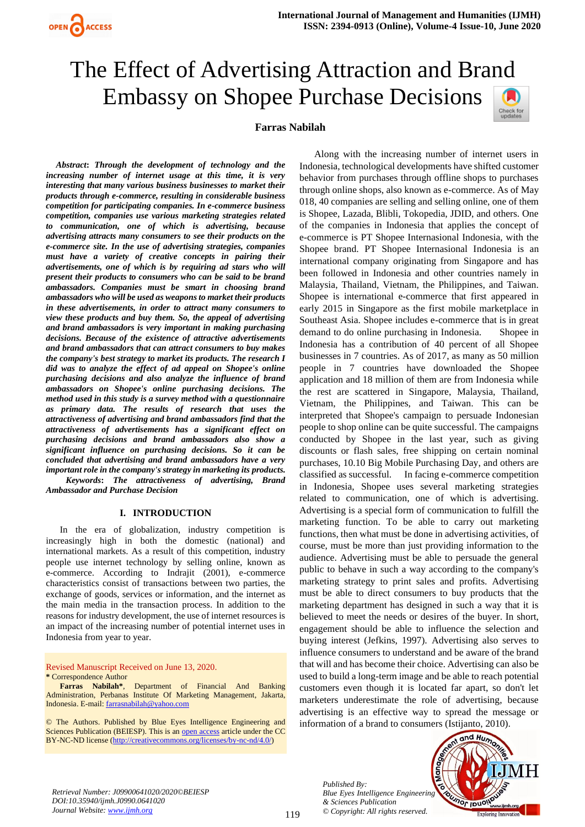

# The Effect of Advertising Attraction and Brand Embassy on Shopee Purchase DecisionsCheck for<br>updates



*Abstract***:** *Through the development of technology and the increasing number of internet usage at this time, it is very interesting that many various business businesses to market their products through e-commerce, resulting in considerable business competition for participating companies. In e-commerce business competition, companies use various marketing strategies related to communication, one of which is advertising, because advertising attracts many consumers to see their products on the e-commerce site. In the use of advertising strategies, companies must have a variety of creative concepts in pairing their advertisements, one of which is by requiring ad stars who will present their products to consumers who can be said to be brand ambassadors. Companies must be smart in choosing brand ambassadors who will be used as weapons to market their products in these advertisements, in order to attract many consumers to view these products and buy them. So, the appeal of advertising and brand ambassadors is very important in making purchasing decisions. Because of the existence of attractive advertisements and brand ambassadors that can attract consumers to buy makes the company's best strategy to market its products. The research I did was to analyze the effect of ad appeal on Shopee's online purchasing decisions and also analyze the influence of brand ambassadors on Shopee's online purchasing decisions. The method used in this study is a survey method with a questionnaire as primary data. The results of research that uses the attractiveness of advertising and brand ambassadors find that the attractiveness of advertisements has a significant effect on purchasing decisions and brand ambassadors also show a significant influence on purchasing decisions. So it can be concluded that advertising and brand ambassadors have a very important role in the company's strategy in marketing its products. Keywords***:** *The attractiveness of advertising, Brand Ambassador and Purchase Decision*

#### **I. INTRODUCTION**

In the era of globalization, industry competition is increasingly high in both the domestic (national) and international markets. As a result of this competition, industry people use internet technology by selling online, known as e-commerce. According to Indrajit (2001), e-commerce characteristics consist of transactions between two parties, the exchange of goods, services or information, and the internet as the main media in the transaction process. In addition to the reasons for industry development, the use of internet resources is an impact of the increasing number of potential internet uses in Indonesia from year to year.

Revised Manuscript Received on June 13, 2020. **\*** Correspondence Author

**Farras Nabilah\***, Department of Financial And Banking Administration, Perbanas Institute Of Marketing Management, Jakarta, Indonesia. E-mail: [farrasnabilah@yahoo.com](mailto:farrasnabilah@yahoo.com)

© The Authors. Published by Blue Eyes Intelligence Engineering and Sciences Publication (BEIESP). This is an [open access](https://www.openaccess.nl/en/open-publications) article under the CC BY-NC-ND license [\(http://creativecommons.org/licenses/by-nc-nd/4.0/\)](http://creativecommons.org/licenses/by-nc-nd/4.0/)

 Along with the increasing number of internet users in Indonesia, technological developments have shifted customer behavior from purchases through offline shops to purchases through online shops, also known as e-commerce. As of May 018, 40 companies are selling and selling online, one of them is Shopee, Lazada, Blibli, Tokopedia, JDID, and others. One of the companies in Indonesia that applies the concept of e-commerce is PT Shopee Internasional Indonesia, with the Shopee brand. PT Shopee Internasional Indonesia is an international company originating from Singapore and has been followed in Indonesia and other countries namely in Malaysia, Thailand, Vietnam, the Philippines, and Taiwan. Shopee is international e-commerce that first appeared in early 2015 in Singapore as the first mobile marketplace in Southeast Asia. Shopee includes e-commerce that is in great demand to do online purchasing in Indonesia. Shopee in Indonesia has a contribution of 40 percent of all Shopee businesses in 7 countries. As of 2017, as many as 50 million people in 7 countries have downloaded the Shopee application and 18 million of them are from Indonesia while the rest are scattered in Singapore, Malaysia, Thailand, Vietnam, the Philippines, and Taiwan. This can be interpreted that Shopee's campaign to persuade Indonesian people to shop online can be quite successful. The campaigns conducted by Shopee in the last year, such as giving discounts or flash sales, free shipping on certain nominal purchases, 10.10 Big Mobile Purchasing Day, and others are classified as successful. In facing e-commerce competition in Indonesia, Shopee uses several marketing strategies related to communication, one of which is advertising. Advertising is a special form of communication to fulfill the marketing function. To be able to carry out marketing functions, then what must be done in advertising activities, of course, must be more than just providing information to the audience. Advertising must be able to persuade the general public to behave in such a way according to the company's marketing strategy to print sales and profits. Advertising must be able to direct consumers to buy products that the marketing department has designed in such a way that it is believed to meet the needs or desires of the buyer. In short, engagement should be able to influence the selection and buying interest (Jefkins, 1997). Advertising also serves to influence consumers to understand and be aware of the brand that will and has become their choice. Advertising can also be used to build a long-term image and be able to reach potential customers even though it is located far apart, so don't let marketers underestimate the role of advertising, because advertising is an effective way to spread the message or information of a brand to consumers (Istijanto, 2010).

*Published By: Blue Eyes Intelligence Engineering & Sciences Publication © Copyright: All rights reserved.*



*Retrieval Number: J09900641020/2020©BEIESP DOI:10.35940/ijmh.J0990.0641020 Journal Website: [www.ijmh.org](http://www.ijmh.org/)*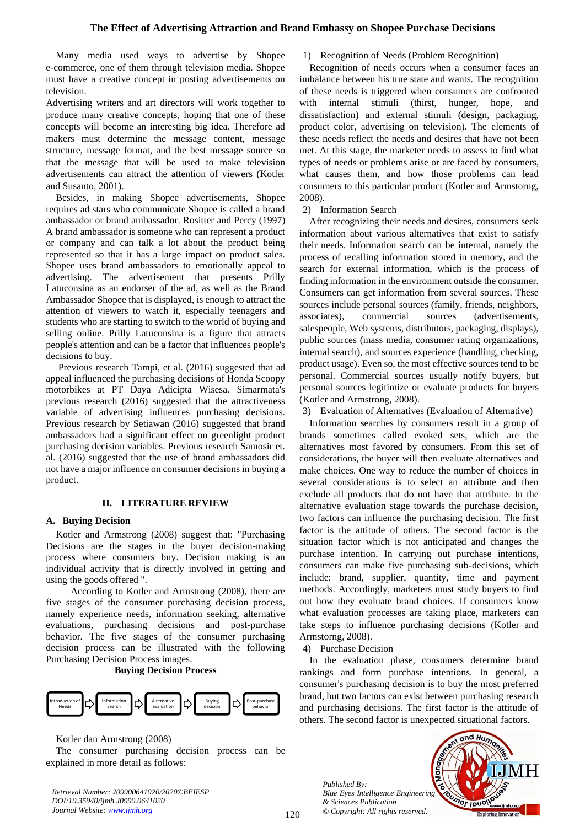Many media used ways to advertise by Shopee e-commerce, one of them through television media. Shopee must have a creative concept in posting advertisements on television.

Advertising writers and art directors will work together to produce many creative concepts, hoping that one of these concepts will become an interesting big idea. Therefore ad makers must determine the message content, message structure, message format, and the best message source so that the message that will be used to make television advertisements can attract the attention of viewers (Kotler and Susanto, 2001).

 Besides, in making Shopee advertisements, Shopee requires ad stars who communicate Shopee is called a brand ambassador or brand ambassador. Rositter and Percy (1997) A brand ambassador is someone who can represent a product or company and can talk a lot about the product being represented so that it has a large impact on product sales. Shopee uses brand ambassadors to emotionally appeal to advertising. The advertisement that presents Prilly Latuconsina as an endorser of the ad, as well as the Brand Ambassador Shopee that is displayed, is enough to attract the attention of viewers to watch it, especially teenagers and students who are starting to switch to the world of buying and selling online. Prilly Latuconsina is a figure that attracts people's attention and can be a factor that influences people's decisions to buy.

 Previous research Tampi, et al. (2016) suggested that ad appeal influenced the purchasing decisions of Honda Scoopy motorbikes at PT Daya Adicipta Wisesa. Simarmata's previous research (2016) suggested that the attractiveness variable of advertising influences purchasing decisions. Previous research by Setiawan (2016) suggested that brand ambassadors had a significant effect on greenlight product purchasing decision variables. Previous research Samosir et. al. (2016) suggested that the use of brand ambassadors did not have a major influence on consumer decisions in buying a product.

# **II. LITERATURE REVIEW**

#### **A. Buying Decision**

Kotler and Armstrong (2008) suggest that: "Purchasing Decisions are the stages in the buyer decision-making process where consumers buy. Decision making is an individual activity that is directly involved in getting and using the goods offered ".

 According to Kotler and Armstrong (2008), there are five stages of the consumer purchasing decision process, namely experience needs, information seeking, alternative evaluations, purchasing decisions and post-purchase behavior. The five stages of the consumer purchasing decision process can be illustrated with the following Purchasing Decision Process images.

**Buying Decision Process**



Kotler dan Armstrong (2008)

The consumer purchasing decision process can be explained in more detail as follows:

*Retrieval Number: J09900641020/2020©BEIESP DOI:10.35940/ijmh.J0990.0641020 Journal Website: [www.ijmh.org](http://www.ijmh.org/)*

#### 1) Recognition of Needs (Problem Recognition)

Recognition of needs occurs when a consumer faces an imbalance between his true state and wants. The recognition of these needs is triggered when consumers are confronted with internal stimuli (thirst, hunger, hope, and dissatisfaction) and external stimuli (design, packaging, product color, advertising on television). The elements of these needs reflect the needs and desires that have not been met. At this stage, the marketer needs to assess to find what types of needs or problems arise or are faced by consumers, what causes them, and how those problems can lead consumers to this particular product (Kotler and Armstorng, 2008).

## 2) Information Search

After recognizing their needs and desires, consumers seek information about various alternatives that exist to satisfy their needs. Information search can be internal, namely the process of recalling information stored in memory, and the search for external information, which is the process of finding information in the environment outside the consumer. Consumers can get information from several sources. These sources include personal sources (family, friends, neighbors, associates), commercial sources (advertisements, salespeople, Web systems, distributors, packaging, displays), public sources (mass media, consumer rating organizations, internal search), and sources experience (handling, checking, product usage). Even so, the most effective sources tend to be personal. Commercial sources usually notify buyers, but personal sources legitimize or evaluate products for buyers (Kotler and Armstrong, 2008).

3) Evaluation of Alternatives (Evaluation of Alternative)

Information searches by consumers result in a group of brands sometimes called evoked sets, which are the alternatives most favored by consumers. From this set of considerations, the buyer will then evaluate alternatives and make choices. One way to reduce the number of choices in several considerations is to select an attribute and then exclude all products that do not have that attribute. In the alternative evaluation stage towards the purchase decision, two factors can influence the purchasing decision. The first factor is the attitude of others. The second factor is the situation factor which is not anticipated and changes the purchase intention. In carrying out purchase intentions, consumers can make five purchasing sub-decisions, which include: brand, supplier, quantity, time and payment methods. Accordingly, marketers must study buyers to find out how they evaluate brand choices. If consumers know what evaluation processes are taking place, marketers can take steps to influence purchasing decisions (Kotler and Armstorng, 2008).

4) Purchase Decision

In the evaluation phase, consumers determine brand rankings and form purchase intentions. In general, a consumer's purchasing decision is to buy the most preferred brand, but two factors can exist between purchasing research and purchasing decisions. The first factor is the attitude of others. The second factor is unexpected situational factors.

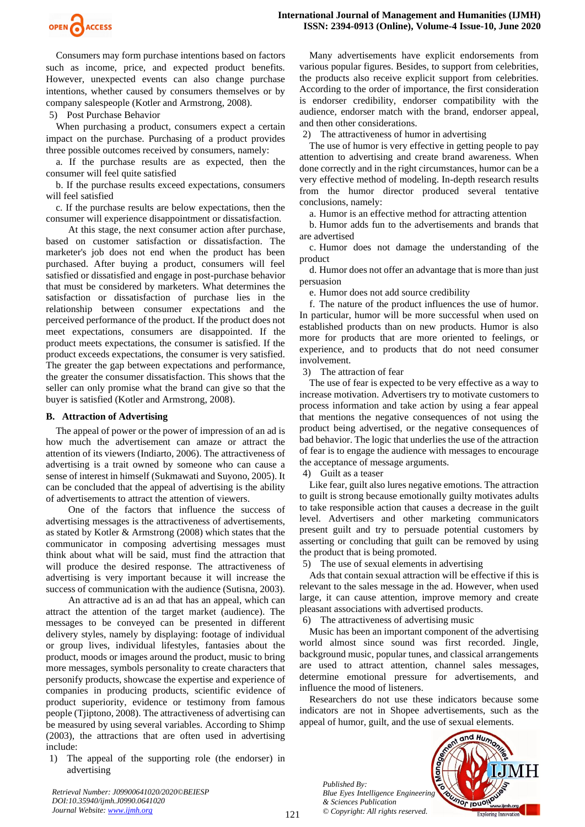

Consumers may form purchase intentions based on factors such as income, price, and expected product benefits. However, unexpected events can also change purchase intentions, whether caused by consumers themselves or by company salespeople (Kotler and Armstrong, 2008).

5) Post Purchase Behavior

When purchasing a product, consumers expect a certain impact on the purchase. Purchasing of a product provides three possible outcomes received by consumers, namely:

a. If the purchase results are as expected, then the consumer will feel quite satisfied

b. If the purchase results exceed expectations, consumers will feel satisfied

c. If the purchase results are below expectations, then the consumer will experience disappointment or dissatisfaction.

 At this stage, the next consumer action after purchase, based on customer satisfaction or dissatisfaction. The marketer's job does not end when the product has been purchased. After buying a product, consumers will feel satisfied or dissatisfied and engage in post-purchase behavior that must be considered by marketers. What determines the satisfaction or dissatisfaction of purchase lies in the relationship between consumer expectations and the perceived performance of the product. If the product does not meet expectations, consumers are disappointed. If the product meets expectations, the consumer is satisfied. If the product exceeds expectations, the consumer is very satisfied. The greater the gap between expectations and performance, the greater the consumer dissatisfaction. This shows that the seller can only promise what the brand can give so that the buyer is satisfied (Kotler and Armstrong, 2008).

#### **B. Attraction of Advertising**

The appeal of power or the power of impression of an ad is how much the advertisement can amaze or attract the attention of its viewers (Indiarto, 2006). The attractiveness of advertising is a trait owned by someone who can cause a sense of interest in himself (Sukmawati and Suyono, 2005). It can be concluded that the appeal of advertising is the ability of advertisements to attract the attention of viewers.

 One of the factors that influence the success of advertising messages is the attractiveness of advertisements, as stated by Kotler & Armstrong (2008) which states that the communicator in composing advertising messages must think about what will be said, must find the attraction that will produce the desired response. The attractiveness of advertising is very important because it will increase the success of communication with the audience (Sutisna, 2003).

 An attractive ad is an ad that has an appeal, which can attract the attention of the target market (audience). The messages to be conveyed can be presented in different delivery styles, namely by displaying: footage of individual or group lives, individual lifestyles, fantasies about the product, moods or images around the product, music to bring more messages, symbols personality to create characters that personify products, showcase the expertise and experience of companies in producing products, scientific evidence of product superiority, evidence or testimony from famous people (Tjiptono, 2008). The attractiveness of advertising can be measured by using several variables. According to Shimp (2003), the attractions that are often used in advertising include:

1) The appeal of the supporting role (the endorser) in advertising

Many advertisements have explicit endorsements from various popular figures. Besides, to support from celebrities, the products also receive explicit support from celebrities. According to the order of importance, the first consideration is endorser credibility, endorser compatibility with the audience, endorser match with the brand, endorser appeal, and then other considerations.

2) The attractiveness of humor in advertising

The use of humor is very effective in getting people to pay attention to advertising and create brand awareness. When done correctly and in the right circumstances, humor can be a very effective method of modeling. In-depth research results from the humor director produced several tentative conclusions, namely:

a. Humor is an effective method for attracting attention

b. Humor adds fun to the advertisements and brands that are advertised

c. Humor does not damage the understanding of the product

d. Humor does not offer an advantage that is more than just persuasion

e. Humor does not add source credibility

f. The nature of the product influences the use of humor. In particular, humor will be more successful when used on established products than on new products. Humor is also more for products that are more oriented to feelings, or experience, and to products that do not need consumer involvement.

3) The attraction of fear

The use of fear is expected to be very effective as a way to increase motivation. Advertisers try to motivate customers to process information and take action by using a fear appeal that mentions the negative consequences of not using the product being advertised, or the negative consequences of bad behavior. The logic that underlies the use of the attraction of fear is to engage the audience with messages to encourage the acceptance of message arguments.

4) Guilt as a teaser

Like fear, guilt also lures negative emotions. The attraction to guilt is strong because emotionally guilty motivates adults to take responsible action that causes a decrease in the guilt level. Advertisers and other marketing communicators present guilt and try to persuade potential customers by asserting or concluding that guilt can be removed by using the product that is being promoted.

5) The use of sexual elements in advertising

Ads that contain sexual attraction will be effective if this is relevant to the sales message in the ad. However, when used large, it can cause attention, improve memory and create pleasant associations with advertised products.

6) The attractiveness of advertising music

Music has been an important component of the advertising world almost since sound was first recorded. Jingle, background music, popular tunes, and classical arrangements are used to attract attention, channel sales messages, determine emotional pressure for advertisements, and influence the mood of listeners.

Researchers do not use these indicators because some indicators are not in Shopee advertisements, such as the appeal of humor, guilt, and the use of sexual elements.

*Published By: Blue Eyes Intelligence Engineering & Sciences Publication © Copyright: All rights reserved.*



*Retrieval Number: J09900641020/2020©BEIESP DOI:10.35940/ijmh.J0990.0641020 Journal Website: [www.ijmh.org](http://www.ijmh.org/)*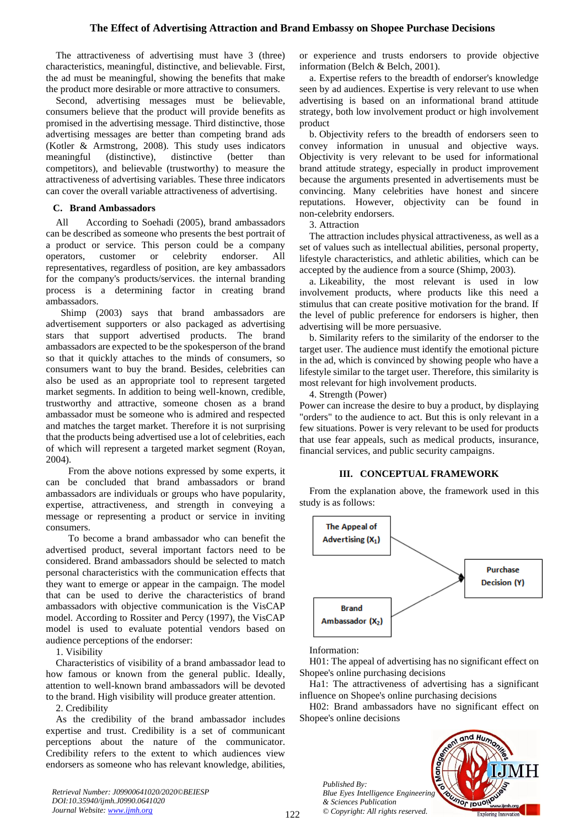The attractiveness of advertising must have 3 (three) characteristics, meaningful, distinctive, and believable. First, the ad must be meaningful, showing the benefits that make the product more desirable or more attractive to consumers.

Second, advertising messages must be believable, consumers believe that the product will provide benefits as promised in the advertising message. Third distinctive, those advertising messages are better than competing brand ads (Kotler & Armstrong, 2008). This study uses indicators meaningful (distinctive), distinctive (better than competitors), and believable (trustworthy) to measure the attractiveness of advertising variables. These three indicators can cover the overall variable attractiveness of advertising.

## **C. Brand Ambassadors**

All According to Soehadi (2005), brand ambassadors can be described as someone who presents the best portrait of a product or service. This person could be a company operators, customer or celebrity endorser. All representatives, regardless of position, are key ambassadors for the company's products/services. the internal branding process is a determining factor in creating brand ambassadors.

 Shimp (2003) says that brand ambassadors are advertisement supporters or also packaged as advertising stars that support advertised products. The brand ambassadors are expected to be the spokesperson of the brand so that it quickly attaches to the minds of consumers, so consumers want to buy the brand. Besides, celebrities can also be used as an appropriate tool to represent targeted market segments. In addition to being well-known, credible, trustworthy and attractive, someone chosen as a brand ambassador must be someone who is admired and respected and matches the target market. Therefore it is not surprising that the products being advertised use a lot of celebrities, each of which will represent a targeted market segment (Royan, 2004).

 From the above notions expressed by some experts, it can be concluded that brand ambassadors or brand ambassadors are individuals or groups who have popularity, expertise, attractiveness, and strength in conveying a message or representing a product or service in inviting consumers.

 To become a brand ambassador who can benefit the advertised product, several important factors need to be considered. Brand ambassadors should be selected to match personal characteristics with the communication effects that they want to emerge or appear in the campaign. The model that can be used to derive the characteristics of brand ambassadors with objective communication is the VisCAP model. According to Rossiter and Percy (1997), the VisCAP model is used to evaluate potential vendors based on audience perceptions of the endorser:

1. Visibility

Characteristics of visibility of a brand ambassador lead to how famous or known from the general public. Ideally, attention to well-known brand ambassadors will be devoted to the brand. High visibility will produce greater attention.

2. Credibility

As the credibility of the brand ambassador includes expertise and trust. Credibility is a set of communicant perceptions about the nature of the communicator. Credibility refers to the extent to which audiences view endorsers as someone who has relevant knowledge, abilities,

*Retrieval Number: J09900641020/2020©BEIESP DOI:10.35940/ijmh.J0990.0641020 Journal Website: [www.ijmh.org](http://www.ijmh.org/)*

or experience and trusts endorsers to provide objective information (Belch & Belch, 2001).

a. Expertise refers to the breadth of endorser's knowledge seen by ad audiences. Expertise is very relevant to use when advertising is based on an informational brand attitude strategy, both low involvement product or high involvement product

b. Objectivity refers to the breadth of endorsers seen to convey information in unusual and objective ways. Objectivity is very relevant to be used for informational brand attitude strategy, especially in product improvement because the arguments presented in advertisements must be convincing. Many celebrities have honest and sincere reputations. However, objectivity can be found in non-celebrity endorsers.

3. Attraction

The attraction includes physical attractiveness, as well as a set of values such as intellectual abilities, personal property, lifestyle characteristics, and athletic abilities, which can be accepted by the audience from a source (Shimp, 2003).

a. Likeability, the most relevant is used in low involvement products, where products like this need a stimulus that can create positive motivation for the brand. If the level of public preference for endorsers is higher, then advertising will be more persuasive.

b. Similarity refers to the similarity of the endorser to the target user. The audience must identify the emotional picture in the ad, which is convinced by showing people who have a lifestyle similar to the target user. Therefore, this similarity is most relevant for high involvement products.

4. Strength (Power)

Power can increase the desire to buy a product, by displaying "orders" to the audience to act. But this is only relevant in a few situations. Power is very relevant to be used for products that use fear appeals, such as medical products, insurance, financial services, and public security campaigns.

#### **III. CONCEPTUAL FRAMEWORK**

From the explanation above, the framework used in this study is as follows:



Information:

H01: The appeal of advertising has no significant effect on Shopee's online purchasing decisions

Ha1: The attractiveness of advertising has a significant influence on Shopee's online purchasing decisions

H02: Brand ambassadors have no significant effect on Shopee's online decisions

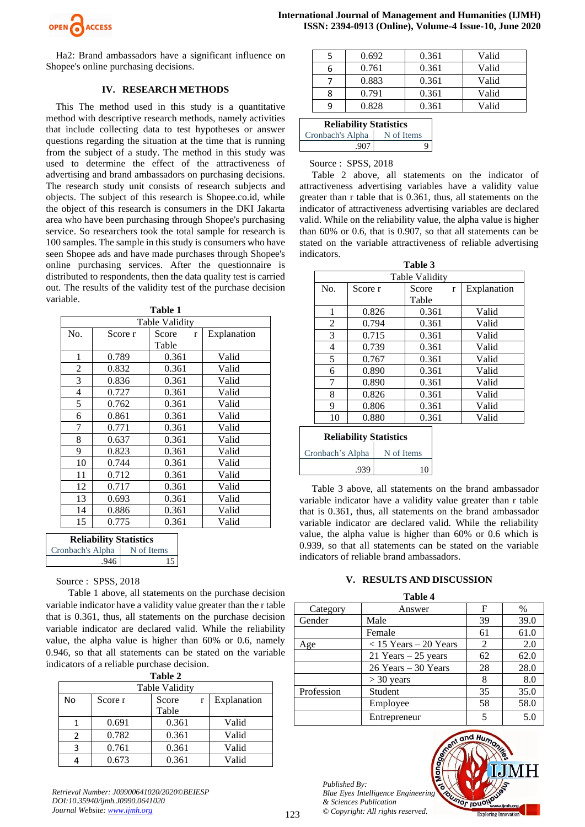

Ha2: Brand ambassadors have a significant influence on Shopee's online purchasing decisions.

#### **IV. RESEARCH METHODS**

This The method used in this study is a quantitative method with descriptive research methods, namely activities that include collecting data to test hypotheses or answer questions regarding the situation at the time that is running from the subject of a study. The method in this study was used to determine the effect of the attractiveness of advertising and brand ambassadors on purchasing decisions. The research study unit consists of research subjects and objects. The subject of this research is Shopee.co.id, while the object of this research is consumers in the DKI Jakarta area who have been purchasing through Shopee's purchasing service. So researchers took the total sample for research is 100 samples. The sample in this study is consumers who have seen Shopee ads and have made purchases through Shopee's online purchasing services. After the questionnaire is distributed to respondents, then the data quality test is carried out. The results of the validity test of the purchase decision variable.

**Table 1** 

| rapie r |                |                     |             |  |  |  |
|---------|----------------|---------------------|-------------|--|--|--|
|         | Table Validity |                     |             |  |  |  |
| No.     | Score r        | Score<br>r<br>Table | Explanation |  |  |  |
|         |                |                     |             |  |  |  |
| 1       | 0.789          | 0.361               | Valid       |  |  |  |
| 2       | 0.832          | 0.361               | Valid       |  |  |  |
| 3       | 0.836          | 0.361               | Valid       |  |  |  |
| 4       | 0.727          | 0.361               | Valid       |  |  |  |
| 5       | 0.762          | 0.361               | Valid       |  |  |  |
| 6       | 0.861          | 0.361               | Valid       |  |  |  |
| 7       | 0.771          | 0.361               | Valid       |  |  |  |
| 8       | 0.637          | 0.361               | Valid       |  |  |  |
| 9       | 0.823          | 0.361               | Valid       |  |  |  |
| 10      | 0.744          | 0.361               | Valid       |  |  |  |
| 11      | 0.712          | 0.361               | Valid       |  |  |  |
| 12      | 0.717          | 0.361               | Valid       |  |  |  |
| 13      | 0.693          | 0.361               | Valid       |  |  |  |
| 14      | 0.886          | 0.361               | Valid       |  |  |  |
| 15      | 0.775          | 0.361               | Valid       |  |  |  |

| <b>Reliability Statistics</b> |            |  |  |
|-------------------------------|------------|--|--|
| Cronbach's Alpha              | N of Items |  |  |
| .946                          | 15         |  |  |

## Source : SPSS, 2018

 Table 1 above, all statements on the purchase decision variable indicator have a validity value greater than the r table that is 0.361, thus, all statements on the purchase decision variable indicator are declared valid. While the reliability value, the alpha value is higher than 60% or 0.6, namely 0.946, so that all statements can be stated on the variable indicators of a reliable purchase decision.

| <b>Table 2</b> |                |       |             |  |  |  |
|----------------|----------------|-------|-------------|--|--|--|
|                | Table Validity |       |             |  |  |  |
| No             | Score r        | Score | Explanation |  |  |  |
|                |                | Table |             |  |  |  |
| 1              | 0.691          | 0.361 | Valid       |  |  |  |
| $\mathcal{P}$  | 0.782          | 0.361 | Valid       |  |  |  |
| 3              | 0.761          | 0.361 | Valid       |  |  |  |
|                | 0.673          | 0.361 | Valid       |  |  |  |

*Retrieval Number: J09900641020/2020©BEIESP DOI:10.35940/ijmh.J0990.0641020 Journal Website: [www.ijmh.org](http://www.ijmh.org/)*

|   | 0.692 | 0.361 | Valid |
|---|-------|-------|-------|
| 6 | 0.761 | 0.361 | Valid |
|   | 0.883 | 0.361 | Valid |
| 8 | 0.791 | 0.361 | Valid |
| q | 0.828 | 0.361 | Valid |
|   |       |       |       |

| <b>Reliability Statistics</b> |            |  |
|-------------------------------|------------|--|
| Cronbach's Alpha              | N of Items |  |
| .907                          | O          |  |

#### Source : SPSS, 2018

 Table 2 above, all statements on the indicator of attractiveness advertising variables have a validity value greater than r table that is 0.361, thus, all statements on the indicator of attractiveness advertising variables are declared valid. While on the reliability value, the alpha value is higher than 60% or 0.6, that is 0.907, so that all statements can be stated on the variable attractiveness of reliable advertising indicators.

| Table 3                       |                |            |             |  |  |  |
|-------------------------------|----------------|------------|-------------|--|--|--|
|                               | Table Validity |            |             |  |  |  |
| No.                           | Score r        | Score<br>r | Explanation |  |  |  |
|                               |                | Table      |             |  |  |  |
| 1                             | 0.826          | 0.361      | Valid       |  |  |  |
| $\mathfrak{D}$                | 0.794          | 0.361      | Valid       |  |  |  |
| 3                             | 0.715          | 0.361      | Valid       |  |  |  |
| 4                             | 0.739          | 0.361      | Valid       |  |  |  |
| 5                             | 0.767          | 0.361      | Valid       |  |  |  |
| 6                             | 0.890          | 0.361      | Valid       |  |  |  |
| 7                             | 0.890          | 0.361      | Valid       |  |  |  |
| 8                             | 0.826          | 0.361      | Valid       |  |  |  |
| 9                             | 0.806          | 0.361      | Valid       |  |  |  |
| 10                            | 0.880          | 0.361      | Valid       |  |  |  |
| <b>Reliability Statistics</b> |                |            |             |  |  |  |

| <b>Reliability Statistics</b> |            |  |
|-------------------------------|------------|--|
| Cronbach's Alpha              | N of Items |  |
| .939                          | 10         |  |

 Table 3 above, all statements on the brand ambassador variable indicator have a validity value greater than r table that is 0.361, thus, all statements on the brand ambassador variable indicator are declared valid. While the reliability value, the alpha value is higher than 60% or 0.6 which is 0.939, so that all statements can be stated on the variable indicators of reliable brand ambassadors.

# **V. RESULTS AND DISCUSSION**

| Table 4    |                           |    |      |  |
|------------|---------------------------|----|------|--|
| Category   | Answer                    | F  | $\%$ |  |
| Gender     | Male                      | 39 | 39.0 |  |
|            | Female                    | 61 | 61.0 |  |
| Age        | $<$ 15 Years $-$ 20 Years | 2  | 2.0  |  |
|            | 21 Years $-25$ years      | 62 | 62.0 |  |
|            | $26$ Years $-30$ Years    | 28 | 28.0 |  |
|            | $>$ 30 years              | 8  | 8.0  |  |
| Profession | Student                   | 35 | 35.0 |  |
|            | Employee                  | 58 | 58.0 |  |
|            | Entrepreneur              | 5  | 5.0  |  |

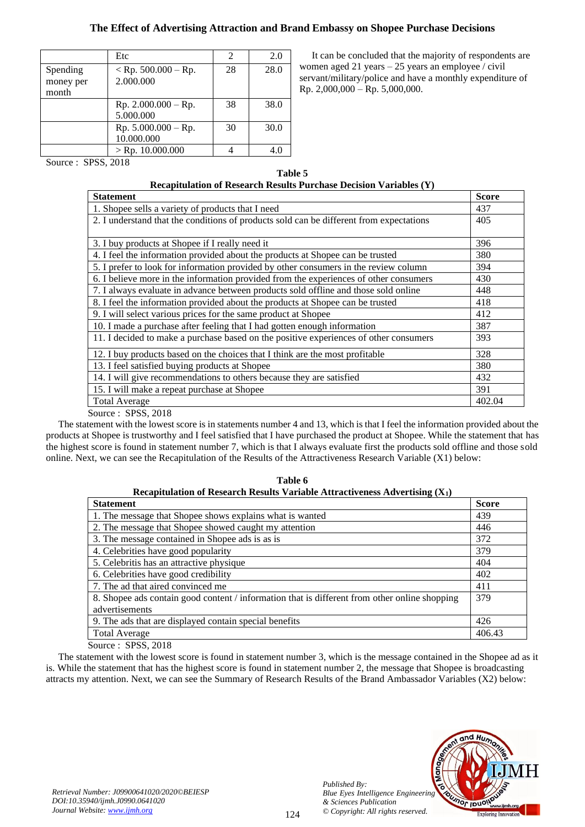# **The Effect of Advertising Attraction and Brand Embassy on Shopee Purchase Decisions**

|                                | Etc                                  | $\overline{c}$ | 2.0  |
|--------------------------------|--------------------------------------|----------------|------|
| Spending<br>money per<br>month | $<$ Rp. 500.000 – Rp.<br>2.000.000   | 28             | 28.0 |
|                                | $Rp. 2.000.000 - Rp.$<br>5.000.000   | 38             | 38.0 |
|                                | Rp. $5.000.000 - Rp$ .<br>10.000.000 | 30             | 30.0 |
|                                | $>$ Rp. 10.000.000                   |                | 4.0  |

 It can be concluded that the majority of respondents are women aged 21 years – 25 years an employee / civil servant/military/police and have a monthly expenditure of Rp. 2,000,000 – Rp. 5,000,000.

Source : SPSS, 2018

| Table 5                                                              |
|----------------------------------------------------------------------|
| Recapitulation of Research Results Purchase Decision Variables $(Y)$ |

| <b>Statement</b>                                                                        | <b>Score</b> |
|-----------------------------------------------------------------------------------------|--------------|
| 1. Shopee sells a variety of products that I need                                       | 437          |
| 2. I understand that the conditions of products sold can be different from expectations | 405          |
|                                                                                         |              |
| 3. I buy products at Shopee if I really need it                                         | 396          |
| 4. I feel the information provided about the products at Shopee can be trusted          | 380          |
| 5. I prefer to look for information provided by other consumers in the review column    | 394          |
| 6. I believe more in the information provided from the experiences of other consumers   | 430          |
| 7. I always evaluate in advance between products sold offline and those sold online     | 448          |
| 8. I feel the information provided about the products at Shopee can be trusted          | 418          |
| 9. I will select various prices for the same product at Shopee                          | 412          |
| 10. I made a purchase after feeling that I had gotten enough information                | 387          |
| 11. I decided to make a purchase based on the positive experiences of other consumers   | 393          |
| 12. I buy products based on the choices that I think are the most profitable            | 328          |
| 13. I feel satisfied buying products at Shopee                                          | 380          |
| 14. I will give recommendations to others because they are satisfied                    | 432          |
| 15. I will make a repeat purchase at Shopee                                             | 391          |
| <b>Total Average</b>                                                                    | 402.04       |

Source : SPSS, 2018

 The statement with the lowest score is in statements number 4 and 13, which is that I feel the information provided about the products at Shopee is trustworthy and I feel satisfied that I have purchased the product at Shopee. While the statement that has the highest score is found in statement number 7, which is that I always evaluate first the products sold offline and those sold online. Next, we can see the Recapitulation of the Results of the Attractiveness Research Variable (X1) below:

| Table 6<br>Recapitulation of Research Results Variable Attractiveness Advertising $(X_1)$     |              |  |
|-----------------------------------------------------------------------------------------------|--------------|--|
| <b>Statement</b>                                                                              | <b>Score</b> |  |
| 1. The message that Shopee shows explains what is wanted                                      | 439          |  |
| 2. The message that Shopee showed caught my attention                                         | 446          |  |
| 3. The message contained in Shopee ads is as is                                               | 372          |  |
| 4. Celebrities have good popularity                                                           | 379          |  |
| 5. Celebritis has an attractive physique                                                      | 404          |  |
| 6. Celebrities have good credibility                                                          | 402          |  |
| 7. The ad that aired convinced me                                                             | 411          |  |
| 8. Shopee ads contain good content / information that is different from other online shopping |              |  |
| advertisements                                                                                |              |  |
| 9. The ads that are displayed contain special benefits                                        | 426          |  |
| <b>Total Average</b>                                                                          | 406.43       |  |

Source : SPSS, 2018

 The statement with the lowest score is found in statement number 3, which is the message contained in the Shopee ad as it is. While the statement that has the highest score is found in statement number 2, the message that Shopee is broadcasting attracts my attention. Next, we can see the Summary of Research Results of the Brand Ambassador Variables (X2) below:

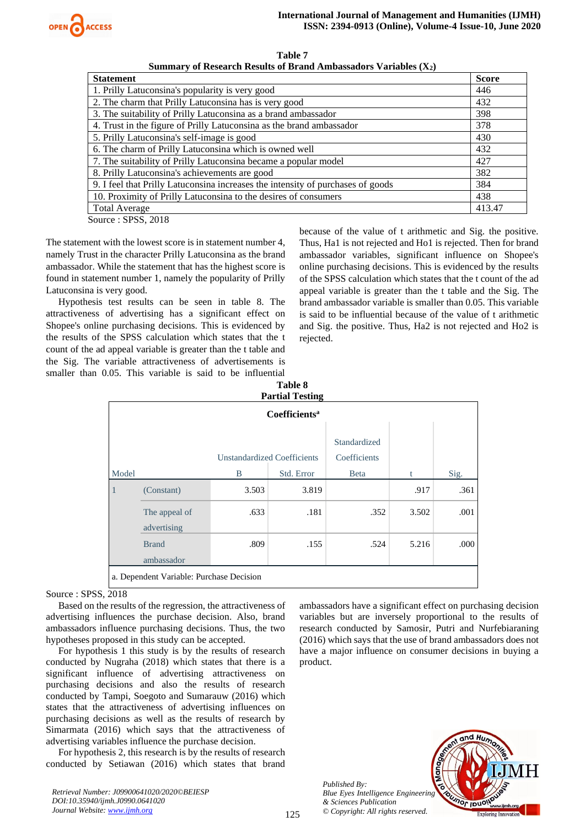

| Table 7                                                            |
|--------------------------------------------------------------------|
| Summary of Research Results of Brand Ambassadors Variables $(X_2)$ |

| <b>Statement</b>                                                                | <b>Score</b> |  |  |  |  |
|---------------------------------------------------------------------------------|--------------|--|--|--|--|
| 1. Prilly Latuconsina's popularity is very good                                 |              |  |  |  |  |
| 2. The charm that Prilly Latuconsina has is very good                           |              |  |  |  |  |
| 3. The suitability of Prilly Latuconsina as a brand ambassador                  |              |  |  |  |  |
| 4. Trust in the figure of Prilly Latuconsina as the brand ambassador            | 378          |  |  |  |  |
| 5. Prilly Latuconsina's self-image is good                                      | 430          |  |  |  |  |
| 6. The charm of Prilly Latuconsina which is owned well                          | 432          |  |  |  |  |
| 7. The suitability of Prilly Latuconsina became a popular model                 | 427          |  |  |  |  |
| 8. Prilly Latuconsina's achievements are good                                   | 382          |  |  |  |  |
| 9. I feel that Prilly Latuconsina increases the intensity of purchases of goods |              |  |  |  |  |
| 10. Proximity of Prilly Latuconsina to the desires of consumers                 | 438          |  |  |  |  |
| <b>Total Average</b>                                                            | 413.47       |  |  |  |  |
| Source: SPSS, 2018                                                              |              |  |  |  |  |

The statement with the lowest score is in statement number 4, namely Trust in the character Prilly Latuconsina as the brand ambassador. While the statement that has the highest score is found in statement number 1, namely the popularity of Prilly Latuconsina is very good.

 Hypothesis test results can be seen in table 8. The attractiveness of advertising has a significant effect on Shopee's online purchasing decisions. This is evidenced by the results of the SPSS calculation which states that the t count of the ad appeal variable is greater than the t table and the Sig. The variable attractiveness of advertisements is smaller than 0.05. This variable is said to be influential **Table 8**

because of the value of t arithmetic and Sig. the positive. Thus, Ha1 is not rejected and Ho1 is rejected. Then for brand ambassador variables, significant influence on Shopee's online purchasing decisions. This is evidenced by the results of the SPSS calculation which states that the t count of the ad appeal variable is greater than the t table and the Sig. The brand ambassador variable is smaller than 0.05. This variable is said to be influential because of the value of t arithmetic and Sig. the positive. Thus, Ha2 is not rejected and Ho2 is rejected.

| 1 avit 0<br><b>Partial Testing</b> |                                          |                                    |            |                              |       |      |  |  |
|------------------------------------|------------------------------------------|------------------------------------|------------|------------------------------|-------|------|--|--|
| Coefficients <sup>a</sup>          |                                          |                                    |            |                              |       |      |  |  |
|                                    |                                          | <b>Unstandardized Coefficients</b> |            | Standardized<br>Coefficients |       |      |  |  |
| Model                              |                                          | B                                  | Std. Error | <b>B</b> eta                 | t     | Sig. |  |  |
| 1                                  | (Constant)                               | 3.503                              | 3.819      |                              | .917  | .361 |  |  |
|                                    | The appeal of<br>advertising             | .633                               | .181       | .352                         | 3.502 | .001 |  |  |
|                                    | <b>Brand</b><br>ambassador               | .809                               | .155       | .524                         | 5.216 | .000 |  |  |
|                                    | a. Dependent Variable: Purchase Decision |                                    |            |                              |       |      |  |  |

# Source : SPSS, 2018

 Based on the results of the regression, the attractiveness of advertising influences the purchase decision. Also, brand ambassadors influence purchasing decisions. Thus, the two hypotheses proposed in this study can be accepted.

 For hypothesis 1 this study is by the results of research conducted by Nugraha (2018) which states that there is a significant influence of advertising attractiveness on purchasing decisions and also the results of research conducted by Tampi, Soegoto and Sumarauw (2016) which states that the attractiveness of advertising influences on purchasing decisions as well as the results of research by Simarmata (2016) which says that the attractiveness of advertising variables influence the purchase decision.

 For hypothesis 2, this research is by the results of research conducted by Setiawan (2016) which states that brand

*Retrieval Number: J09900641020/2020©BEIESP DOI:10.35940/ijmh.J0990.0641020 Journal Website: [www.ijmh.org](http://www.ijmh.org/)*

ambassadors have a significant effect on purchasing decision variables but are inversely proportional to the results of research conducted by Samosir, Putri and Nurfebiaraning (2016) which says that the use of brand ambassadors does not have a major influence on consumer decisions in buying a product.